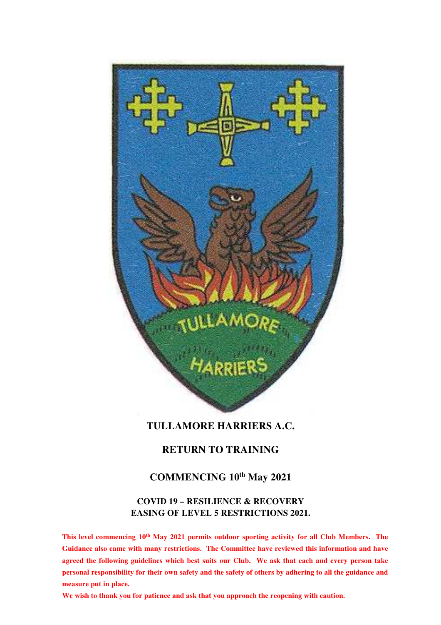

# **TULLAMORE HARRIERS A.C.**

# **RETURN TO TRAINING**

# **COMMENCING 10th May 2021**

# **COVID 19 – RESILIENCE & RECOVERY EASING OF LEVEL 5 RESTRICTIONS 2021.**

**This level commencing 10th May 2021 permits outdoor sporting activity for all Club Members. The Guidance also came with many restrictions. The Committee have reviewed this information and have agreed the following guidelines which best suits our Club. We ask that each and every person take personal responsibility for their own safety and the safety of others by adhering to all the guidance and measure put in place.** 

**We wish to thank you for patience and ask that you approach the reopening with caution.**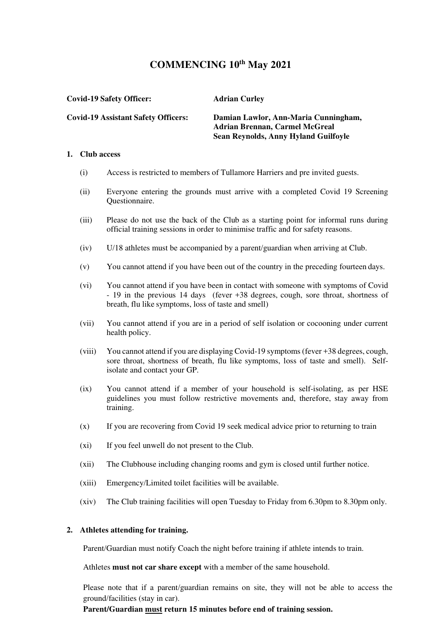# **COMMENCING 10th May 2021**

**Covid-19 Safety Officer: Adrian Curley**

**Covid-19 Assistant Safety Officers: Damian Lawlor, Ann-Maria Cunningham, Adrian Brennan, Carmel McGreal Sean Reynolds, Anny Hyland Guilfoyle** 

### **1. Club access**

- (i) Access is restricted to members of Tullamore Harriers and pre invited guests.
- (ii) Everyone entering the grounds must arrive with a completed Covid 19 Screening Questionnaire.
- (iii) Please do not use the back of the Club as a starting point for informal runs during official training sessions in order to minimise traffic and for safety reasons.
- (iv) U/18 athletes must be accompanied by a parent/guardian when arriving at Club.
- (v) You cannot attend if you have been out of the country in the preceding fourteen days.
- (vi) You cannot attend if you have been in contact with someone with symptoms of Covid - 19 in the previous 14 days (fever +38 degrees, cough, sore throat, shortness of breath, flu like symptoms, loss of taste and smell)
- (vii) You cannot attend if you are in a period of self isolation or cocooning under current health policy.
- (viii) You cannot attend if you are displaying Covid-19 symptoms (fever +38 degrees, cough, sore throat, shortness of breath, flu like symptoms, loss of taste and smell). Selfisolate and contact your GP.
- (ix) You cannot attend if a member of your household is self-isolating, as per HSE guidelines you must follow restrictive movements and, therefore, stay away from training.
- (x) If you are recovering from Covid 19 seek medical advice prior to returning to train
- (xi) If you feel unwell do not present to the Club.
- (xii) The Clubhouse including changing rooms and gym is closed until further notice.
- (xiii) Emergency/Limited toilet facilities will be available.
- (xiv) The Club training facilities will open Tuesday to Friday from 6.30pm to 8.30pm only.

#### **2. Athletes attending for training.**

Parent/Guardian must notify Coach the night before training if athlete intends to train.

Athletes **must not car share except** with a member of the same household.

Please note that if a parent/guardian remains on site, they will not be able to access the ground/facilities (stay in car).

**Parent/Guardian must return 15 minutes before end of training session.**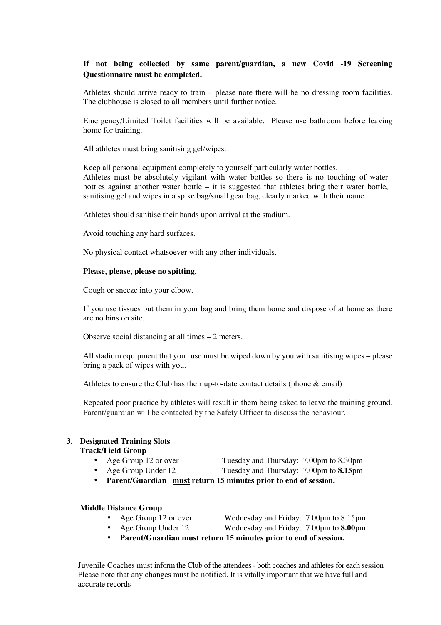# **If not being collected by same parent/guardian, a new Covid -19 Screening Questionnaire must be completed.**

Athletes should arrive ready to train – please note there will be no dressing room facilities. The clubhouse is closed to all members until further notice.

Emergency/Limited Toilet facilities will be available. Please use bathroom before leaving home for training.

All athletes must bring sanitising gel/wipes.

Keep all personal equipment completely to yourself particularly water bottles. Athletes must be absolutely vigilant with water bottles so there is no touching of water bottles against another water bottle – it is suggested that athletes bring their water bottle, sanitising gel and wipes in a spike bag/small gear bag, clearly marked with their name.

Athletes should sanitise their hands upon arrival at the stadium.

Avoid touching any hard surfaces.

No physical contact whatsoever with any other individuals.

#### **Please, please, please no spitting.**

Cough or sneeze into your elbow.

If you use tissues put them in your bag and bring them home and dispose of at home as there are no bins on site.

Observe social distancing at all times – 2 meters.

All stadium equipment that you use must be wiped down by you with sanitising wipes – please bring a pack of wipes with you.

Athletes to ensure the Club has their up-to-date contact details (phone & email)

Repeated poor practice by athletes will result in them being asked to leave the training ground. Parent/guardian will be contacted by the Safety Officer to discuss the behaviour.

# **3. Designated Training Slots**

## **Track/Field Group**

- Age Group 12 or over Tuesday and Thursday: 7.00pm to 8.30pm
- Age Group Under 12 Tuesday and Thursday: 7.00pm to **8.15**pm
- **Parent/Guardian must return 15 minutes prior to end of session.**

#### **Middle Distance Group**

- 
- Age Group 12 or overWednesday and Friday: 7.00pm to 8.15pm
- 
- Age Group Under 12Wednesday and Friday: 7.00pm to **8.00**pm
- **Parent/Guardian must return 15 minutes prior to end of session.**

Juvenile Coaches must inform the Club of the attendees - both coaches and athletes for each session Please note that any changes must be notified. It is vitally important that we have full and accurate records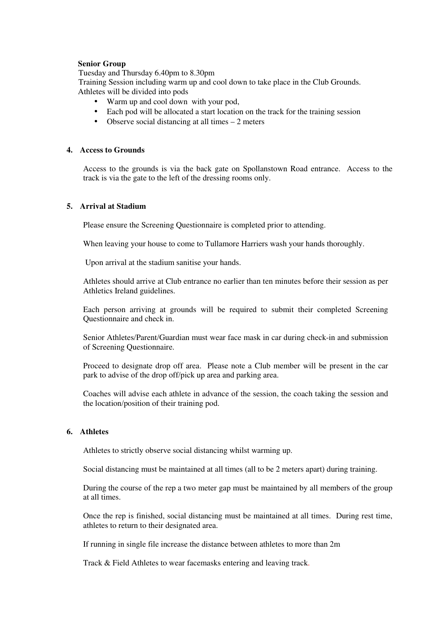### **Senior Group**

Tuesday and Thursday 6.40pm to 8.30pm

 Training Session including warm up and cool down to take place in the Club Grounds. Athletes will be divided into pods

- Warm up and cool down with your pod,
- Each pod will be allocated a start location on the track for the training session
- Observe social distancing at all times 2 meters

### **4. Access to Grounds**

Access to the grounds is via the back gate on Spollanstown Road entrance. Access to the track is via the gate to the left of the dressing rooms only.

### **5. Arrival at Stadium**

Please ensure the Screening Questionnaire is completed prior to attending.

When leaving your house to come to Tullamore Harriers wash your hands thoroughly.

Upon arrival at the stadium sanitise your hands.

Athletes should arrive at Club entrance no earlier than ten minutes before their session as per Athletics Ireland guidelines.

Each person arriving at grounds will be required to submit their completed Screening Questionnaire and check in.

Senior Athletes/Parent/Guardian must wear face mask in car during check-in and submission of Screening Questionnaire.

Proceed to designate drop off area. Please note a Club member will be present in the car park to advise of the drop off/pick up area and parking area.

Coaches will advise each athlete in advance of the session, the coach taking the session and the location/position of their training pod.

### **6. Athletes**

Athletes to strictly observe social distancing whilst warming up.

Social distancing must be maintained at all times (all to be 2 meters apart) during training.

During the course of the rep a two meter gap must be maintained by all members of the group at all times.

Once the rep is finished, social distancing must be maintained at all times. During rest time, athletes to return to their designated area.

If running in single file increase the distance between athletes to more than 2m

Track & Field Athletes to wear facemasks entering and leaving track.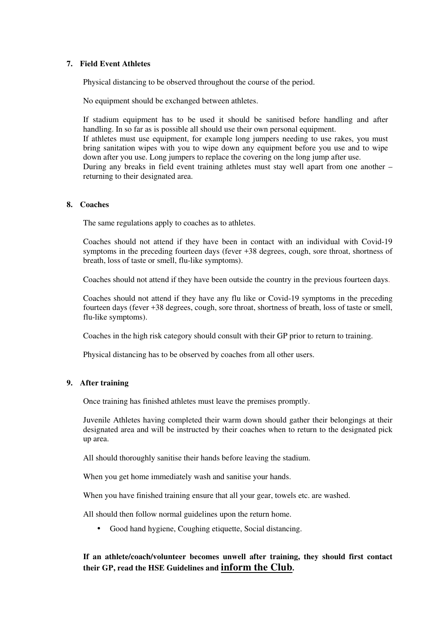### **7. Field Event Athletes**

Physical distancing to be observed throughout the course of the period.

No equipment should be exchanged between athletes.

If stadium equipment has to be used it should be sanitised before handling and after handling. In so far as is possible all should use their own personal equipment. If athletes must use equipment, for example long jumpers needing to use rakes, you must bring sanitation wipes with you to wipe down any equipment before you use and to wipe down after you use. Long jumpers to replace the covering on the long jump after use. During any breaks in field event training athletes must stay well apart from one another – returning to their designated area.

### **8. Coaches**

The same regulations apply to coaches as to athletes.

Coaches should not attend if they have been in contact with an individual with Covid-19 symptoms in the preceding fourteen days (fever +38 degrees, cough, sore throat, shortness of breath, loss of taste or smell, flu-like symptoms).

Coaches should not attend if they have been outside the country in the previous fourteen days.

Coaches should not attend if they have any flu like or Covid-19 symptoms in the preceding fourteen days (fever +38 degrees, cough, sore throat, shortness of breath, loss of taste or smell, flu-like symptoms).

Coaches in the high risk category should consult with their GP prior to return to training.

Physical distancing has to be observed by coaches from all other users.

## **9. After training**

Once training has finished athletes must leave the premises promptly.

Juvenile Athletes having completed their warm down should gather their belongings at their designated area and will be instructed by their coaches when to return to the designated pick up area.

All should thoroughly sanitise their hands before leaving the stadium.

When you get home immediately wash and sanitise your hands.

When you have finished training ensure that all your gear, towels etc. are washed.

All should then follow normal guidelines upon the return home.

• Good hand hygiene, Coughing etiquette, Social distancing.

# **If an athlete/coach/volunteer becomes unwell after training, they should first contact their GP, read the HSE Guidelines and inform the Club.**